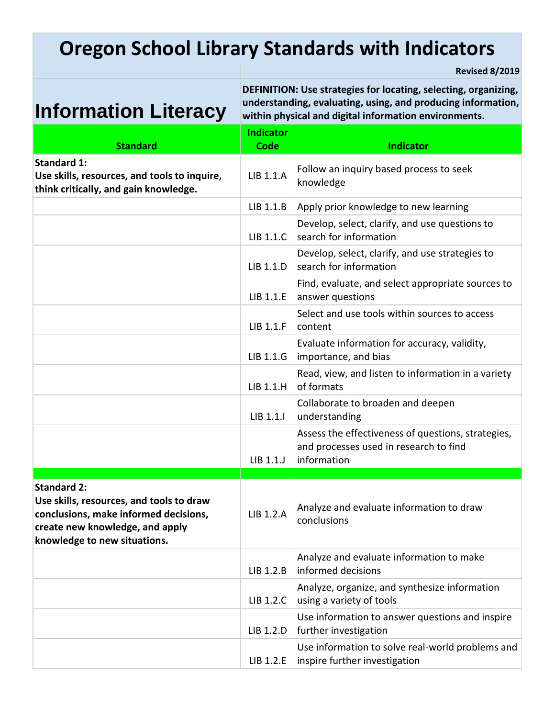# **Oregon School Library Standards with Indicators**

**Revised 8/2019**

# **Information Literacy**

**DEFINITION: Use strategies for locating, selecting, organizing, understanding, evaluating, using, and producing information, within physical and digital information environments.**

| <b>Standard</b>                                                                                                                                                            | <b>Indicator</b><br><b>Code</b> | <b>Indicator</b>                                                                                            |
|----------------------------------------------------------------------------------------------------------------------------------------------------------------------------|---------------------------------|-------------------------------------------------------------------------------------------------------------|
| <b>Standard 1:</b><br>Use skills, resources, and tools to inquire,<br>think critically, and gain knowledge.                                                                | LIB 1.1.A                       | Follow an inquiry based process to seek<br>knowledge                                                        |
|                                                                                                                                                                            | LIB 1.1.B                       | Apply prior knowledge to new learning                                                                       |
|                                                                                                                                                                            | LIB 1.1.C                       | Develop, select, clarify, and use questions to<br>search for information                                    |
|                                                                                                                                                                            | LIB 1.1.D                       | Develop, select, clarify, and use strategies to<br>search for information                                   |
|                                                                                                                                                                            | LIB 1.1.E                       | Find, evaluate, and select appropriate sources to<br>answer questions                                       |
|                                                                                                                                                                            | LIB 1.1.F                       | Select and use tools within sources to access<br>content                                                    |
|                                                                                                                                                                            | LIB 1.1.G                       | Evaluate information for accuracy, validity,<br>importance, and bias                                        |
|                                                                                                                                                                            | LIB 1.1.H                       | Read, view, and listen to information in a variety<br>of formats                                            |
|                                                                                                                                                                            | LIB 1.1.I                       | Collaborate to broaden and deepen<br>understanding                                                          |
|                                                                                                                                                                            | LIB 1.1.J                       | Assess the effectiveness of questions, strategies,<br>and processes used in research to find<br>information |
|                                                                                                                                                                            |                                 |                                                                                                             |
| <b>Standard 2:</b><br>Use skills, resources, and tools to draw<br>conclusions, make informed decisions,<br>create new knowledge, and apply<br>knowledge to new situations. | LIB 1.2.A                       | Analyze and evaluate information to draw<br>conclusions                                                     |
|                                                                                                                                                                            | LIB 1.2.B                       | Analyze and evaluate information to make<br>informed decisions                                              |
|                                                                                                                                                                            | LIB 1.2.C                       | Analyze, organize, and synthesize information<br>using a variety of tools                                   |
|                                                                                                                                                                            | LIB 1.2.D                       | Use information to answer questions and inspire<br>further investigation                                    |
|                                                                                                                                                                            | LIB 1.2.E                       | Use information to solve real-world problems and<br>inspire further investigation                           |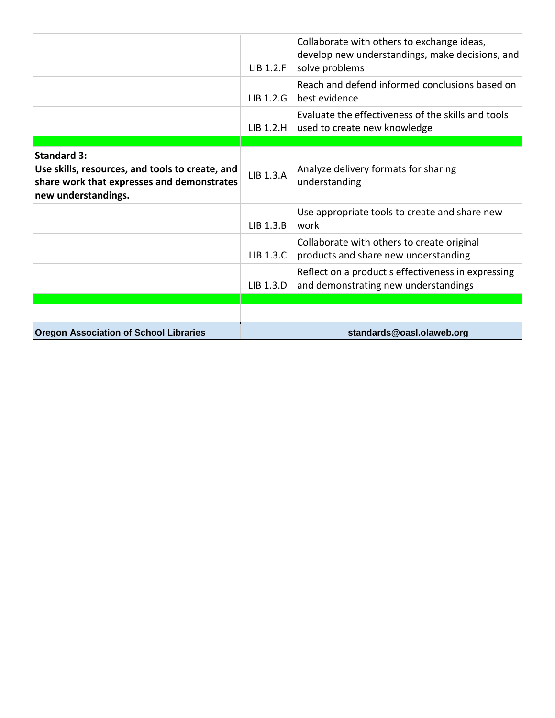|                                                                                                                                            | $LIB$ 1.2. $F$ | Collaborate with others to exchange ideas,<br>develop new understandings, make decisions, and<br>solve problems |
|--------------------------------------------------------------------------------------------------------------------------------------------|----------------|-----------------------------------------------------------------------------------------------------------------|
|                                                                                                                                            | $LIB$ 1.2.G    | Reach and defend informed conclusions based on<br>best evidence                                                 |
|                                                                                                                                            | $LIB$ 1.2.H    | Evaluate the effectiveness of the skills and tools<br>used to create new knowledge                              |
|                                                                                                                                            |                |                                                                                                                 |
| <b>Standard 3:</b><br>Use skills, resources, and tools to create, and<br>share work that expresses and demonstrates<br>new understandings. | LIB 1.3.A      | Analyze delivery formats for sharing<br>understanding                                                           |
|                                                                                                                                            | LIB 1.3.B      | Use appropriate tools to create and share new<br>work                                                           |
|                                                                                                                                            | LIB 1.3.C      | Collaborate with others to create original<br>products and share new understanding                              |
|                                                                                                                                            | LIB 1.3.D      | Reflect on a product's effectiveness in expressing<br>and demonstrating new understandings                      |
|                                                                                                                                            |                |                                                                                                                 |
|                                                                                                                                            |                |                                                                                                                 |
| <b>Oregon Association of School Libraries</b>                                                                                              |                | standards@oasl.olaweb.org                                                                                       |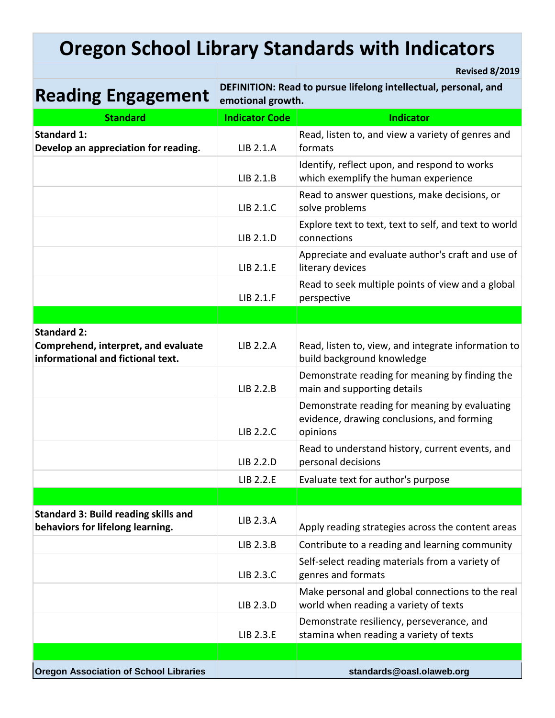# **Oregon School Library Standards with Indicators**

**Reading Engagement DEFINITION: Read to pursue lifelong intellectual, personal, and Reading Engagement emotional growth.**

**Revised 8/2019**

| <b>Standard</b>                                                                 | <b>Indicator Code</b> | <b>Indicator</b>                                                                                        |
|---------------------------------------------------------------------------------|-----------------------|---------------------------------------------------------------------------------------------------------|
| <b>Standard 1:</b>                                                              |                       | Read, listen to, and view a variety of genres and                                                       |
| Develop an appreciation for reading.                                            | LIB 2.1.A             | formats                                                                                                 |
|                                                                                 | LIB 2.1.B             | Identify, reflect upon, and respond to works<br>which exemplify the human experience                    |
|                                                                                 | LIB 2.1.C             | Read to answer questions, make decisions, or<br>solve problems                                          |
|                                                                                 | LIB 2.1.D             | Explore text to text, text to self, and text to world<br>connections                                    |
|                                                                                 | LIB 2.1.E             | Appreciate and evaluate author's craft and use of<br>literary devices                                   |
|                                                                                 | LIB 2.1.F             | Read to seek multiple points of view and a global<br>perspective                                        |
|                                                                                 |                       |                                                                                                         |
| <b>Standard 2:</b>                                                              |                       |                                                                                                         |
| Comprehend, interpret, and evaluate<br>informational and fictional text.        | LIB 2.2.A             | Read, listen to, view, and integrate information to<br>build background knowledge                       |
|                                                                                 | LIB 2.2.B             | Demonstrate reading for meaning by finding the<br>main and supporting details                           |
|                                                                                 | LIB 2.2.C             | Demonstrate reading for meaning by evaluating<br>evidence, drawing conclusions, and forming<br>opinions |
|                                                                                 | LIB 2.2.D             | Read to understand history, current events, and<br>personal decisions                                   |
|                                                                                 | LIB 2.2.E             | Evaluate text for author's purpose                                                                      |
|                                                                                 |                       |                                                                                                         |
| <b>Standard 3: Build reading skills and</b><br>behaviors for lifelong learning. | LIB 2.3.A             | Apply reading strategies across the content areas                                                       |
|                                                                                 | LIB 2.3.B             | Contribute to a reading and learning community                                                          |
|                                                                                 | LIB 2.3.C             | Self-select reading materials from a variety of<br>genres and formats                                   |
|                                                                                 | LIB 2.3.D             | Make personal and global connections to the real<br>world when reading a variety of texts               |
|                                                                                 | LIB 2.3.E             | Demonstrate resiliency, perseverance, and<br>stamina when reading a variety of texts                    |
|                                                                                 |                       |                                                                                                         |
| <b>Oregon Association of School Libraries</b>                                   |                       | standards@oasl.olaweb.org                                                                               |